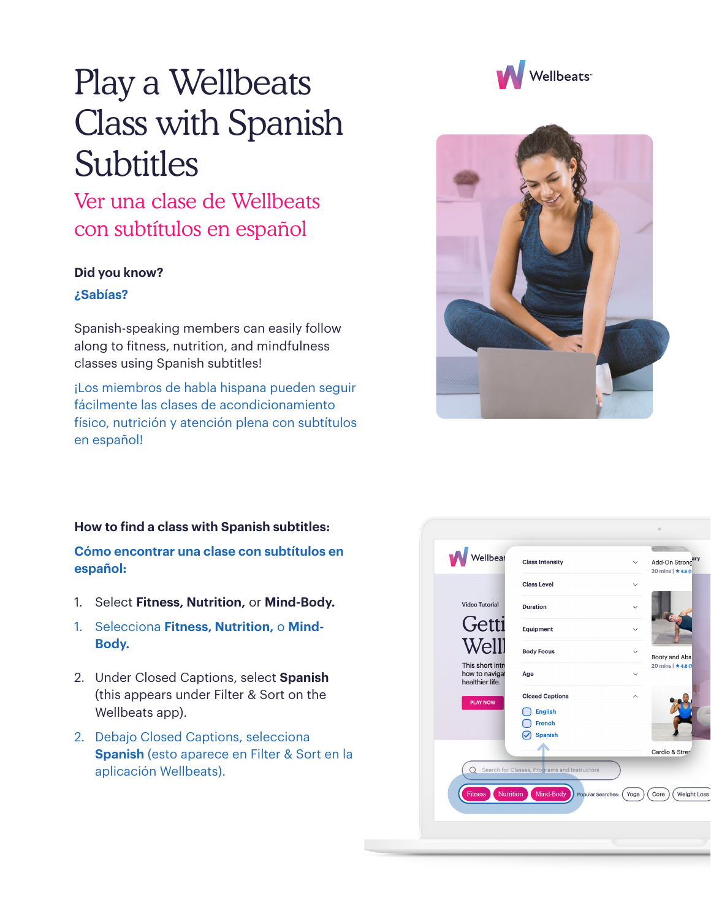## Play a Wellbeats Class with Spanish Subtitles

Ver una clase de Wellbeats con subtítulos en español

## **Did you know?**

## **¿Sabías?**

Spanish-speaking members can easily follow along to fitness, nutrition, and mindfulness classes using Spanish subtitles!

¡Los miembros de habla hispana pueden seguir fácilmente las clases de acondicionamiento físico, nutrición y atención plena con subtítulos en español!

## **How to find a class with Spanish subtitles:**

**Cómo encontrar una clase con subtítulos en español:**

- 1. Select **Fitness, Nutrition,** or **Mind-Body.**
- 1. Selecciona **Fitness, Nutrition,** o **Mind-Body.**
- 2. Under Closed Captions, select **Spanish** (this appears under Filter & Sort on the Wellbeats app).
- 2. Debajo Closed Captions, selecciona **Spanish** (esto aparece en Filter & Sort en la aplicación Wellbeats).